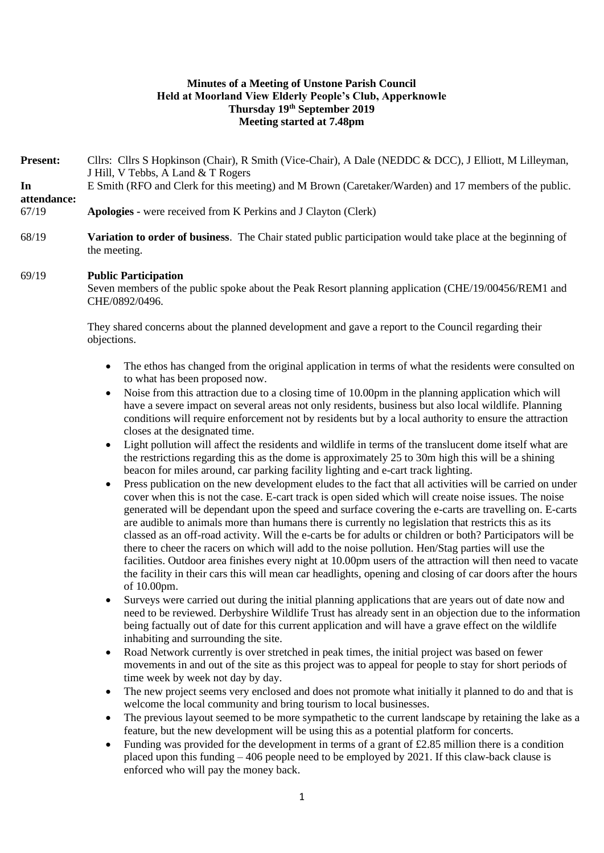## **Minutes of a Meeting of Unstone Parish Council Held at Moorland View Elderly People's Club, Apperknowle Thursday 19th September 2019 Meeting started at 7.48pm**

Present: Cllrs: Cllrs S Hopkinson (Chair), R Smith (Vice-Chair), A Dale (NEDDC & DCC), J Elliott, M Lilleyman, J Hill, V Tebbs, A Land & T Rogers **In attendance:** E Smith (RFO and Clerk for this meeting) and M Brown (Caretaker/Warden) and 17 members of the public. 67/19 **Apologies -** were received from K Perkins and J Clayton (Clerk)

68/19 **Variation to order of business**. The Chair stated public participation would take place at the beginning of the meeting.

#### 69/19 **Public Participation**

Seven members of the public spoke about the Peak Resort planning application (CHE/19/00456/REM1 and CHE/0892/0496.

They shared concerns about the planned development and gave a report to the Council regarding their objections.

- The ethos has changed from the original application in terms of what the residents were consulted on to what has been proposed now.
- Noise from this attraction due to a closing time of 10.00pm in the planning application which will have a severe impact on several areas not only residents, business but also local wildlife. Planning conditions will require enforcement not by residents but by a local authority to ensure the attraction closes at the designated time.
- Light pollution will affect the residents and wildlife in terms of the translucent dome itself what are the restrictions regarding this as the dome is approximately 25 to 30m high this will be a shining beacon for miles around, car parking facility lighting and e-cart track lighting.
- Press publication on the new development eludes to the fact that all activities will be carried on under cover when this is not the case. E-cart track is open sided which will create noise issues. The noise generated will be dependant upon the speed and surface covering the e-carts are travelling on. E-carts are audible to animals more than humans there is currently no legislation that restricts this as its classed as an off-road activity. Will the e-carts be for adults or children or both? Participators will be there to cheer the racers on which will add to the noise pollution. Hen/Stag parties will use the facilities. Outdoor area finishes every night at 10.00pm users of the attraction will then need to vacate the facility in their cars this will mean car headlights, opening and closing of car doors after the hours of 10.00pm.
- Surveys were carried out during the initial planning applications that are years out of date now and need to be reviewed. Derbyshire Wildlife Trust has already sent in an objection due to the information being factually out of date for this current application and will have a grave effect on the wildlife inhabiting and surrounding the site.
- Road Network currently is over stretched in peak times, the initial project was based on fewer movements in and out of the site as this project was to appeal for people to stay for short periods of time week by week not day by day.
- The new project seems very enclosed and does not promote what initially it planned to do and that is welcome the local community and bring tourism to local businesses.
- The previous layout seemed to be more sympathetic to the current landscape by retaining the lake as a feature, but the new development will be using this as a potential platform for concerts.
- Funding was provided for the development in terms of a grant of £2.85 million there is a condition placed upon this funding – 406 people need to be employed by 2021. If this claw-back clause is enforced who will pay the money back.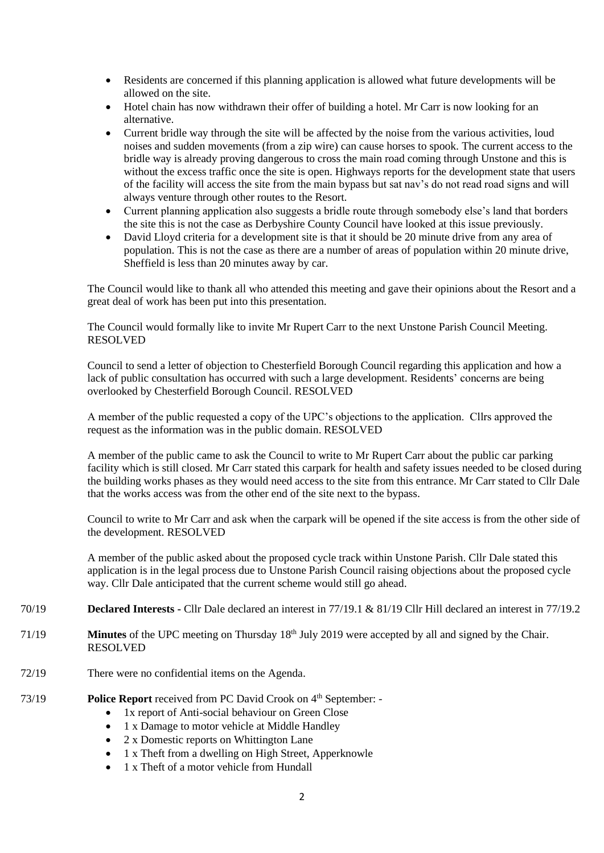- Residents are concerned if this planning application is allowed what future developments will be allowed on the site.
- Hotel chain has now withdrawn their offer of building a hotel. Mr Carr is now looking for an alternative.
- Current bridle way through the site will be affected by the noise from the various activities, loud noises and sudden movements (from a zip wire) can cause horses to spook. The current access to the bridle way is already proving dangerous to cross the main road coming through Unstone and this is without the excess traffic once the site is open. Highways reports for the development state that users of the facility will access the site from the main bypass but sat nav's do not read road signs and will always venture through other routes to the Resort.
- Current planning application also suggests a bridle route through somebody else's land that borders the site this is not the case as Derbyshire County Council have looked at this issue previously.
- David Lloyd criteria for a development site is that it should be 20 minute drive from any area of population. This is not the case as there are a number of areas of population within 20 minute drive, Sheffield is less than 20 minutes away by car.

The Council would like to thank all who attended this meeting and gave their opinions about the Resort and a great deal of work has been put into this presentation.

The Council would formally like to invite Mr Rupert Carr to the next Unstone Parish Council Meeting. RESOLVED

Council to send a letter of objection to Chesterfield Borough Council regarding this application and how a lack of public consultation has occurred with such a large development. Residents' concerns are being overlooked by Chesterfield Borough Council. RESOLVED

A member of the public requested a copy of the UPC's objections to the application. Cllrs approved the request as the information was in the public domain. RESOLVED

A member of the public came to ask the Council to write to Mr Rupert Carr about the public car parking facility which is still closed. Mr Carr stated this carpark for health and safety issues needed to be closed during the building works phases as they would need access to the site from this entrance. Mr Carr stated to Cllr Dale that the works access was from the other end of the site next to the bypass.

Council to write to Mr Carr and ask when the carpark will be opened if the site access is from the other side of the development. RESOLVED

A member of the public asked about the proposed cycle track within Unstone Parish. Cllr Dale stated this application is in the legal process due to Unstone Parish Council raising objections about the proposed cycle way. Cllr Dale anticipated that the current scheme would still go ahead.

- 70/19 **Declared Interests -** Cllr Dale declared an interest in 77/19.1 & 81/19 Cllr Hill declared an interest in 77/19.2
- 71/19 **Minutes** of the UPC meeting on Thursday 18<sup>th</sup> July 2019 were accepted by all and signed by the Chair. RESOLVED
- 72/19 There were no confidential items on the Agenda.

### 73/19 **Police Report** received from PC David Crook on 4<sup>th</sup> September: -

- 1x report of Anti-social behaviour on Green Close
- 1 x Damage to motor vehicle at Middle Handley
- 2 x Domestic reports on Whittington Lane
- 1 x Theft from a dwelling on High Street, Apperknowle
- 1 x Theft of a motor vehicle from Hundall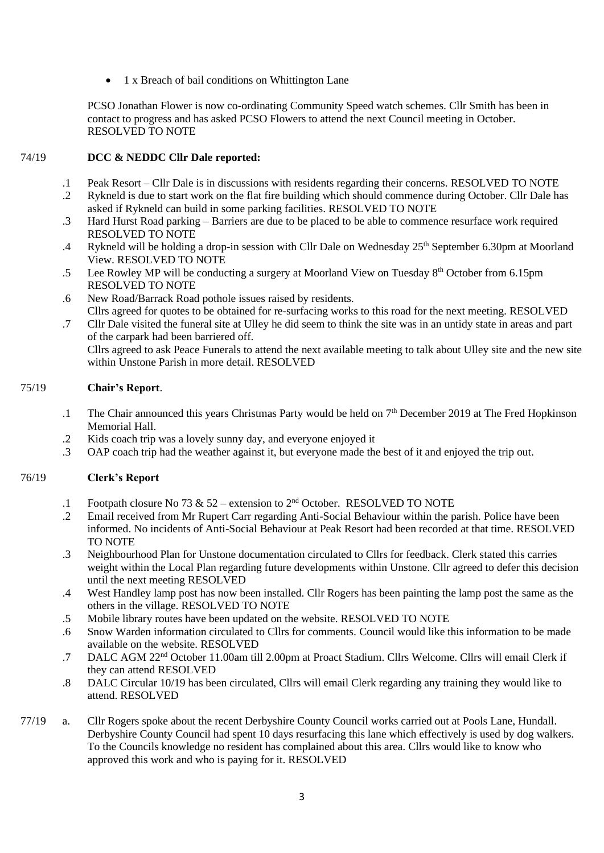• 1 x Breach of bail conditions on Whittington Lane

PCSO Jonathan Flower is now co-ordinating Community Speed watch schemes. Cllr Smith has been in contact to progress and has asked PCSO Flowers to attend the next Council meeting in October. RESOLVED TO NOTE

#### 74/19 **DCC & NEDDC Cllr Dale reported:**

- .1 Peak Resort – Cllr Dale is in discussions with residents regarding their concerns. RESOLVED TO NOTE
- .2 Rykneld is due to start work on the flat fire building which should commence during October. Cllr Dale has asked if Rykneld can build in some parking facilities. RESOLVED TO NOTE
- .3 Hard Hurst Road parking – Barriers are due to be placed to be able to commence resurface work required RESOLVED TO NOTE
- .4 Rykneld will be holding a drop-in session with Cllr Dale on Wednesday 25<sup>th</sup> September 6.30pm at Moorland View. RESOLVED TO NOTE
- .5 Lee Rowley MP will be conducting a surgery at Moorland View on Tuesday  $8<sup>th</sup>$  October from 6.15pm RESOLVED TO NOTE
- .6 New Road/Barrack Road pothole issues raised by residents. Cllrs agreed for quotes to be obtained for re-surfacing works to this road for the next meeting. RESOLVED
- .7 Cllr Dale visited the funeral site at Ulley he did seem to think the site was in an untidy state in areas and part of the carpark had been barriered off.

Cllrs agreed to ask Peace Funerals to attend the next available meeting to talk about Ulley site and the new site within Unstone Parish in more detail. RESOLVED

#### 75/19 **Chair's Report**.

- .1 The Chair announced this years Christmas Party would be held on 7<sup>th</sup> December 2019 at The Fred Hopkinson Memorial Hall.
- .2 Kids coach trip was a lovely sunny day, and everyone enjoyed it
- .3 OAP coach trip had the weather against it, but everyone made the best of it and enjoyed the trip out.

#### 76/19 **Clerk's Report**

- .1 Footpath closure No 73 & 52 – extension to  $2<sup>nd</sup>$  October. RESOLVED TO NOTE
- .2 Email received from Mr Rupert Carr regarding Anti-Social Behaviour within the parish. Police have been informed. No incidents of Anti-Social Behaviour at Peak Resort had been recorded at that time. RESOLVED TO NOTE
- .3 Neighbourhood Plan for Unstone documentation circulated to Cllrs for feedback. Clerk stated this carries weight within the Local Plan regarding future developments within Unstone. Cllr agreed to defer this decision until the next meeting RESOLVED
- .4 West Handley lamp post has now been installed. Cllr Rogers has been painting the lamp post the same as the others in the village. RESOLVED TO NOTE
- .5 Mobile library routes have been updated on the website. RESOLVED TO NOTE
- .6 Snow Warden information circulated to Cllrs for comments. Council would like this information to be made available on the website. RESOLVED
- .7 DALC AGM 22nd October 11.00am till 2.00pm at Proact Stadium. Cllrs Welcome. Cllrs will email Clerk if they can attend RESOLVED
- .8 DALC Circular 10/19 has been circulated, Cllrs will email Clerk regarding any training they would like to attend. RESOLVED
- 77/19 a. Cllr Rogers spoke about the recent Derbyshire County Council works carried out at Pools Lane, Hundall. Derbyshire County Council had spent 10 days resurfacing this lane which effectively is used by dog walkers. To the Councils knowledge no resident has complained about this area. Cllrs would like to know who approved this work and who is paying for it. RESOLVED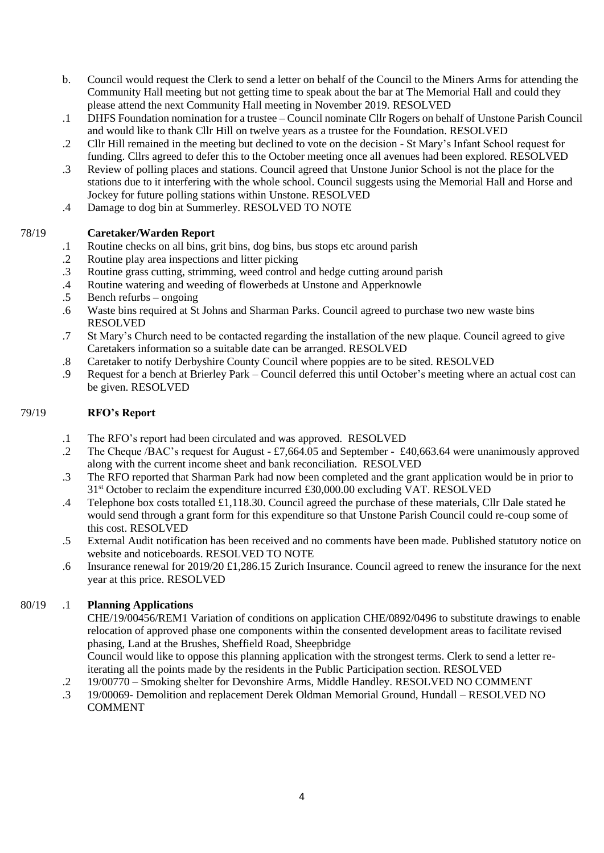- b. Council would request the Clerk to send a letter on behalf of the Council to the Miners Arms for attending the Community Hall meeting but not getting time to speak about the bar at The Memorial Hall and could they please attend the next Community Hall meeting in November 2019. RESOLVED
- .1 DHFS Foundation nomination for a trustee Council nominate Cllr Rogers on behalf of Unstone Parish Council and would like to thank Cllr Hill on twelve years as a trustee for the Foundation. RESOLVED
- .2 Cllr Hill remained in the meeting but declined to vote on the decision St Mary's Infant School request for funding. Cllrs agreed to defer this to the October meeting once all avenues had been explored. RESOLVED
- .3 Review of polling places and stations. Council agreed that Unstone Junior School is not the place for the stations due to it interfering with the whole school. Council suggests using the Memorial Hall and Horse and Jockey for future polling stations within Unstone. RESOLVED
- .4 Damage to dog bin at Summerley. RESOLVED TO NOTE

## **Caretaker/Warden Report**

- .1 Routine checks on all bins, grit bins, dog bins, bus stops etc around parish
- .2 Routine play area inspections and litter picking
- .3 Routine grass cutting, strimming, weed control and hedge cutting around parish
- .4 Routine watering and weeding of flowerbeds at Unstone and Apperknowle
- .5 Bench refurbs – ongoing
- .6 Waste bins required at St Johns and Sharman Parks. Council agreed to purchase two new waste bins RESOLVED
- .7 St Mary's Church need to be contacted regarding the installation of the new plaque. Council agreed to give Caretakers information so a suitable date can be arranged. RESOLVED
- .8 Caretaker to notify Derbyshire County Council where poppies are to be sited. RESOLVED
- .9 Request for a bench at Brierley Park – Council deferred this until October's meeting where an actual cost can be given. RESOLVED

#### 79/19 **RFO's Report**

78/19

- .1 The RFO's report had been circulated and was approved. RESOLVED
- .2 The Cheque /BAC's request for August - £7,664.05 and September - £40,663.64 were unanimously approved along with the current income sheet and bank reconciliation. RESOLVED
- .3 The RFO reported that Sharman Park had now been completed and the grant application would be in prior to 31<sup>st</sup> October to reclaim the expenditure incurred £30,000.00 excluding VAT. RESOLVED
- .4 Telephone box costs totalled £1,118.30. Council agreed the purchase of these materials, Cllr Dale stated he would send through a grant form for this expenditure so that Unstone Parish Council could re-coup some of this cost. RESOLVED
- .5 External Audit notification has been received and no comments have been made. Published statutory notice on website and noticeboards. RESOLVED TO NOTE
- .6 Insurance renewal for 2019/20 £1,286.15 Zurich Insurance. Council agreed to renew the insurance for the next year at this price. RESOLVED

# 80/19 .1 **Planning Applications**

CHE/19/00456/REM1 Variation of conditions on application CHE/0892/0496 to substitute drawings to enable relocation of approved phase one components within the consented development areas to facilitate revised phasing, Land at the Brushes, Sheffield Road, Sheepbridge Council would like to oppose this planning application with the strongest terms. Clerk to send a letter re-

- iterating all the points made by the residents in the Public Participation section. RESOLVED
- .2 19/00770 – Smoking shelter for Devonshire Arms, Middle Handley. RESOLVED NO COMMENT
- .3 19/00069- Demolition and replacement Derek Oldman Memorial Ground, Hundall – RESOLVED NO COMMENT